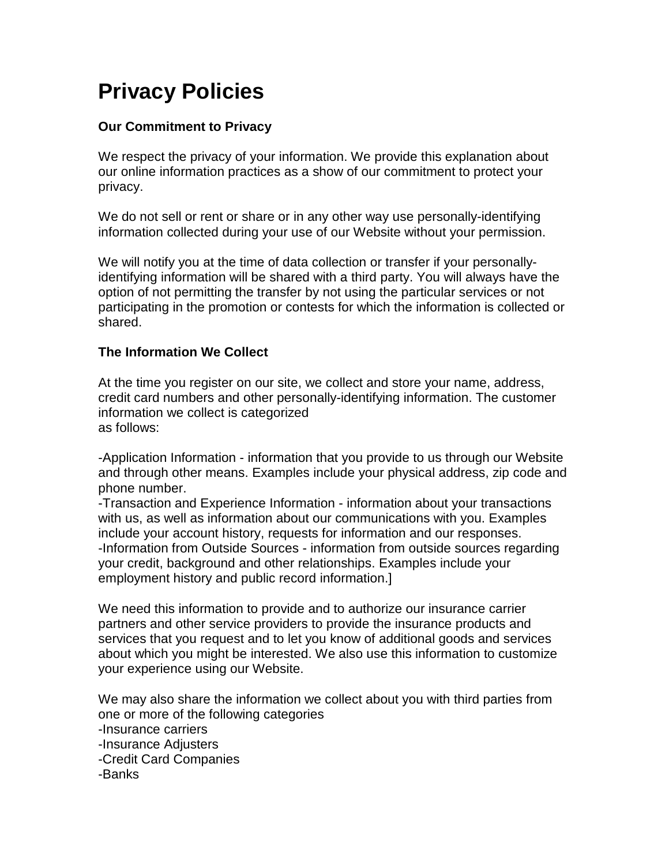# **Privacy Policies**

# **Our Commitment to Privacy**

We respect the privacy of your information. We provide this explanation about our online information practices as a show of our commitment to protect your privacy.

We do not sell or rent or share or in any other way use personally-identifying information collected during your use of our Website without your permission.

We will notify you at the time of data collection or transfer if your personallyidentifying information will be shared with a third party. You will always have the option of not permitting the transfer by not using the particular services or not participating in the promotion or contests for which the information is collected or shared.

# **The Information We Collect**

At the time you register on our site, we collect and store your name, address, credit card numbers and other personally-identifying information. The customer information we collect is categorized as follows:

-Application Information - information that you provide to us through our Website and through other means. Examples include your physical address, zip code and phone number.

-Transaction and Experience Information - information about your transactions with us, as well as information about our communications with you. Examples include your account history, requests for information and our responses. -Information from Outside Sources - information from outside sources regarding your credit, background and other relationships. Examples include your employment history and public record information.]

We need this information to provide and to authorize our insurance carrier partners and other service providers to provide the insurance products and services that you request and to let you know of additional goods and services about which you might be interested. We also use this information to customize your experience using our Website.

We may also share the information we collect about you with third parties from one or more of the following categories -Insurance carriers -Insurance Adjusters -Credit Card Companies -Banks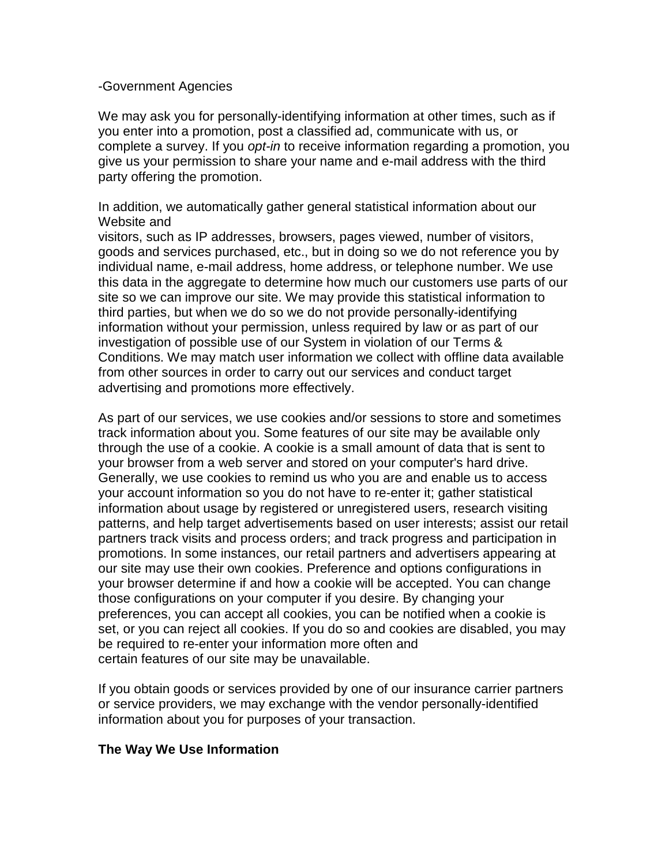#### -Government Agencies

We may ask you for personally-identifying information at other times, such as if you enter into a promotion, post a classified ad, communicate with us, or complete a survey. If you opt-in to receive information regarding a promotion, you give us your permission to share your name and e-mail address with the third party offering the promotion.

In addition, we automatically gather general statistical information about our Website and

visitors, such as IP addresses, browsers, pages viewed, number of visitors, goods and services purchased, etc., but in doing so we do not reference you by individual name, e-mail address, home address, or telephone number. We use this data in the aggregate to determine how much our customers use parts of our site so we can improve our site. We may provide this statistical information to third parties, but when we do so we do not provide personally-identifying information without your permission, unless required by law or as part of our investigation of possible use of our System in violation of our Terms & Conditions. We may match user information we collect with offline data available from other sources in order to carry out our services and conduct target advertising and promotions more effectively.

As part of our services, we use cookies and/or sessions to store and sometimes track information about you. Some features of our site may be available only through the use of a cookie. A cookie is a small amount of data that is sent to your browser from a web server and stored on your computer's hard drive. Generally, we use cookies to remind us who you are and enable us to access your account information so you do not have to re-enter it; gather statistical information about usage by registered or unregistered users, research visiting patterns, and help target advertisements based on user interests; assist our retail partners track visits and process orders; and track progress and participation in promotions. In some instances, our retail partners and advertisers appearing at our site may use their own cookies. Preference and options configurations in your browser determine if and how a cookie will be accepted. You can change those configurations on your computer if you desire. By changing your preferences, you can accept all cookies, you can be notified when a cookie is set, or you can reject all cookies. If you do so and cookies are disabled, you may be required to re-enter your information more often and certain features of our site may be unavailable.

If you obtain goods or services provided by one of our insurance carrier partners or service providers, we may exchange with the vendor personally-identified information about you for purposes of your transaction.

### **The Way We Use Information**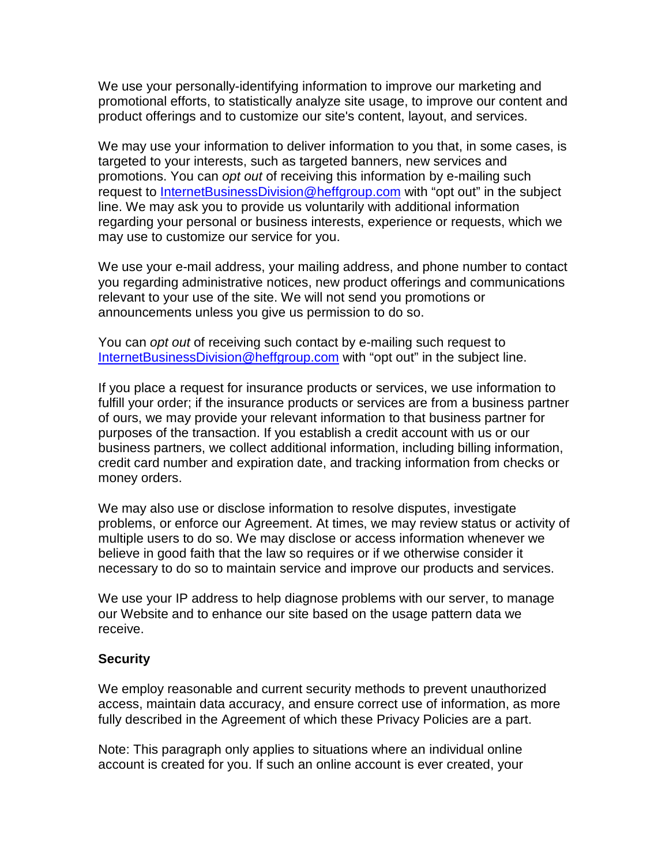We use your personally-identifying information to improve our marketing and promotional efforts, to statistically analyze site usage, to improve our content and product offerings and to customize our site's content, layout, and services.

We may use your information to deliver information to you that, in some cases, is targeted to your interests, such as targeted banners, new services and promotions. You can opt out of receiving this information by e-mailing such request to InternetBusinessDivision@heffgroup.com with "opt out" in the subject line. We may ask you to provide us voluntarily with additional information regarding your personal or business interests, experience or requests, which we may use to customize our service for you.

We use your e-mail address, your mailing address, and phone number to contact you regarding administrative notices, new product offerings and communications relevant to your use of the site. We will not send you promotions or announcements unless you give us permission to do so.

You can opt out of receiving such contact by e-mailing such request to InternetBusinessDivision@heffgroup.com with "opt out" in the subject line.

If you place a request for insurance products or services, we use information to fulfill your order; if the insurance products or services are from a business partner of ours, we may provide your relevant information to that business partner for purposes of the transaction. If you establish a credit account with us or our business partners, we collect additional information, including billing information, credit card number and expiration date, and tracking information from checks or money orders.

We may also use or disclose information to resolve disputes, investigate problems, or enforce our Agreement. At times, we may review status or activity of multiple users to do so. We may disclose or access information whenever we believe in good faith that the law so requires or if we otherwise consider it necessary to do so to maintain service and improve our products and services.

We use your IP address to help diagnose problems with our server, to manage our Website and to enhance our site based on the usage pattern data we receive.

### **Security**

We employ reasonable and current security methods to prevent unauthorized access, maintain data accuracy, and ensure correct use of information, as more fully described in the Agreement of which these Privacy Policies are a part.

Note: This paragraph only applies to situations where an individual online account is created for you. If such an online account is ever created, your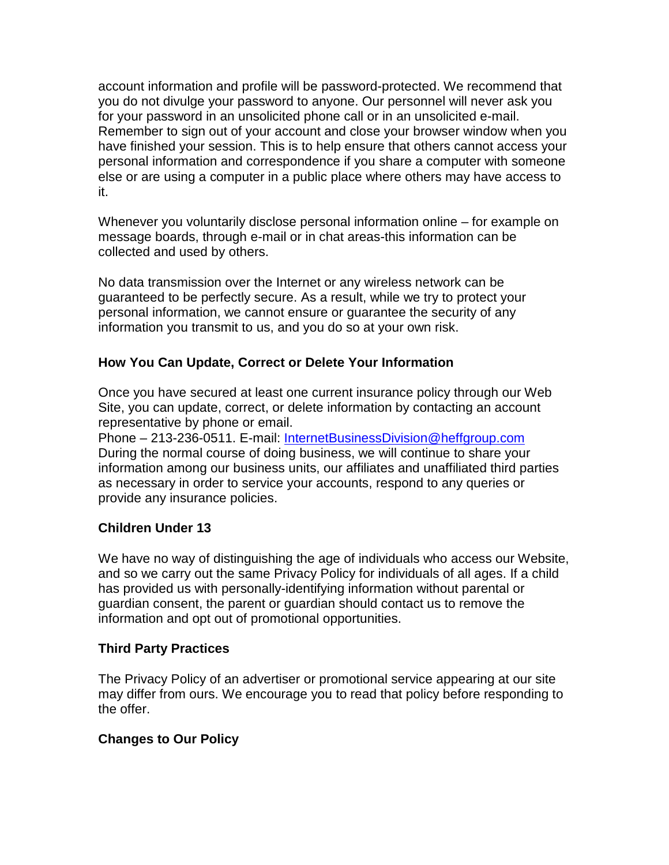account information and profile will be password-protected. We recommend that you do not divulge your password to anyone. Our personnel will never ask you for your password in an unsolicited phone call or in an unsolicited e-mail. Remember to sign out of your account and close your browser window when you have finished your session. This is to help ensure that others cannot access your personal information and correspondence if you share a computer with someone else or are using a computer in a public place where others may have access to it.

Whenever you voluntarily disclose personal information online – for example on message boards, through e-mail or in chat areas-this information can be collected and used by others.

No data transmission over the Internet or any wireless network can be guaranteed to be perfectly secure. As a result, while we try to protect your personal information, we cannot ensure or guarantee the security of any information you transmit to us, and you do so at your own risk.

## **How You Can Update, Correct or Delete Your Information**

Once you have secured at least one current insurance policy through our Web Site, you can update, correct, or delete information by contacting an account representative by phone or email.

Phone – 213-236-0511. E-mail: InternetBusinessDivision@heffgroup.com During the normal course of doing business, we will continue to share your information among our business units, our affiliates and unaffiliated third parties as necessary in order to service your accounts, respond to any queries or provide any insurance policies.

# **Children Under 13**

We have no way of distinguishing the age of individuals who access our Website, and so we carry out the same Privacy Policy for individuals of all ages. If a child has provided us with personally-identifying information without parental or guardian consent, the parent or guardian should contact us to remove the information and opt out of promotional opportunities.

### **Third Party Practices**

The Privacy Policy of an advertiser or promotional service appearing at our site may differ from ours. We encourage you to read that policy before responding to the offer.

### **Changes to Our Policy**